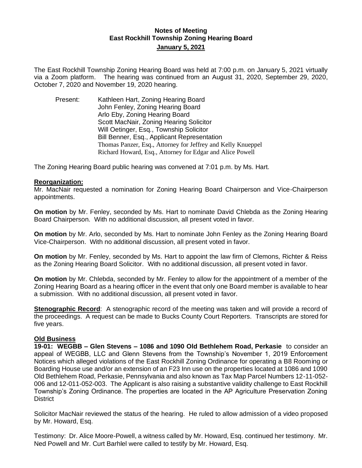## **Notes of Meeting East Rockhill Township Zoning Hearing Board January 5, 2021**

The East Rockhill Township Zoning Hearing Board was held at 7:00 p.m. on January 5, 2021 virtually via a Zoom platform. The hearing was continued from an August 31, 2020, September 29, 2020, October 7, 2020 and November 19, 2020 hearing.

Present: Kathleen Hart, Zoning Hearing Board John Fenley, Zoning Hearing Board Arlo Eby, Zoning Hearing Board Scott MacNair, Zoning Hearing Solicitor Will Oetinger, Esq., Township Solicitor Bill Benner, Esq., Applicant Representation Thomas Panzer, Esq., Attorney for Jeffrey and Kelly Knueppel Richard Howard, Esq., Attorney for Edgar and Alice Powell

The Zoning Hearing Board public hearing was convened at 7:01 p.m. by Ms. Hart.

#### **Reorganization:**

Mr. MacNair requested a nomination for Zoning Hearing Board Chairperson and Vice-Chairperson appointments.

**On motion** by Mr. Fenley, seconded by Ms. Hart to nominate David Chlebda as the Zoning Hearing Board Chairperson. With no additional discussion, all present voted in favor.

**On motion** by Mr. Arlo, seconded by Ms. Hart to nominate John Fenley as the Zoning Hearing Board Vice-Chairperson. With no additional discussion, all present voted in favor.

**On motion** by Mr. Fenley, seconded by Ms. Hart to appoint the law firm of Clemons, Richter & Reiss as the Zoning Hearing Board Solicitor. With no additional discussion, all present voted in favor.

**On motion** by Mr. Chlebda, seconded by Mr. Fenley to allow for the appointment of a member of the Zoning Hearing Board as a hearing officer in the event that only one Board member is available to hear a submission. With no additional discussion, all present voted in favor.

**Stenographic Record:** A stenographic record of the meeting was taken and will provide a record of the proceedings. A request can be made to Bucks County Court Reporters. Transcripts are stored for five years.

#### **Old Business**

**19-01: WEGBB – Glen Stevens – 1086 and 1090 Old Bethlehem Road, Perkasie** to consider an appeal of WEGBB, LLC and Glenn Stevens from the Township's November 1, 2019 Enforcement Notices which alleged violations of the East Rockhill Zoning Ordinance for operating a B8 Rooming or Boarding House use and/or an extension of an F23 Inn use on the properties located at 1086 and 1090 Old Bethlehem Road, Perkasie, Pennsylvania and also known as Tax Map Parcel Numbers 12-11-052- 006 and 12-011-052-003. The Applicant is also raising a substantive validity challenge to East Rockhill Township's Zoning Ordinance. The properties are located in the AP Agriculture Preservation Zoning **District** 

Solicitor MacNair reviewed the status of the hearing. He ruled to allow admission of a video proposed by Mr. Howard, Esq.

Testimony: Dr. Alice Moore-Powell, a witness called by Mr. Howard, Esq. continued her testimony. Mr. Ned Powell and Mr. Curt Barhlel were called to testify by Mr. Howard, Esq.